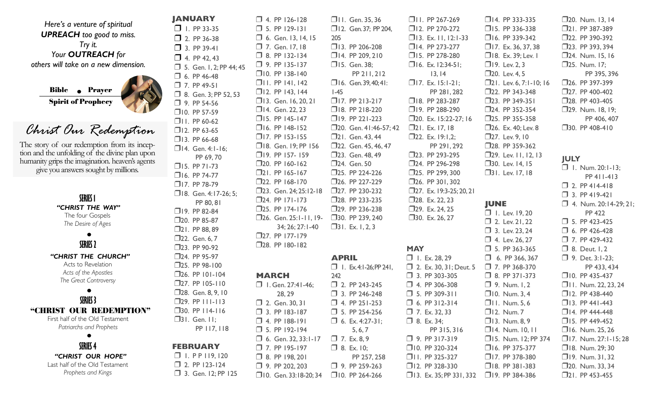|                                                 | <b>JANUARY</b>                              | $\Box$ 4. PP 126-128            | □II. Gen. 35, 36              | $\Box$ II. PP 267-269             | $\Box$ 14. PP 333-335         | $\square$ 20. Num. 13, 14    |
|-------------------------------------------------|---------------------------------------------|---------------------------------|-------------------------------|-----------------------------------|-------------------------------|------------------------------|
| Here's a venture of spiritual                   | $\Box$ I. PP 33-35                          | $\Box$ 5. PP 129-131            | □ 12. Gen. 37; PP 204,        | $12.$ PP 270-272                  | $\Box$ 15. PP 336-338         | $\square$ 21. PP 387-389     |
| <b>UPREACH</b> too good to miss.                | $\Box$ 2. PP 36-38                          | $\Box$ 6. Gen. 13, 14, 15       | 205                           | $\Box$ 13. Ex. 11, 12:1-33        | □16. PP 339-342               | □22. PP 390-392              |
| Try it.                                         | $\Box$ 3. PP 39-41                          | $\Box$ 7. Gen. 17, 18           | $\Box$ 13. PP 206-208         | $\Box$ 14. PP 273-277             | $\Box$ 17. Ex. 36, 37, 38     | $\square$ 23. PP 393, 394    |
| Your <b>OUTREACH</b> for                        | $\Box$ 4. PP 42, 43                         | $\Box$ 8. PP 132-134            | $\Box$ 14. PP 209, 210        | $\Box$ 15. PP 278-280             | $\Box$ 18. Ex. 39; Lev. 1     | $\square$ 24. Num. 15, 16    |
| others will take on a new dimension.            | $\Box$ 5. Gen. I, 2; PP 44; 45              | $\Box$ 9. PP 135-137            | □15. Gen. 38;                 | $\Box$ 16. Ex. 12:34-51;          | $\Box$ 19. Lev. 2, 3          | $\square$ 25. Num. 17;       |
|                                                 | $\Box$ 6. PP 46-48                          | $\Box$ 10. PP 138-140           | PP 211, 212                   | 13, 14                            | □20. Lev. 4, 5                | PP 395, 396                  |
|                                                 | $\Box$ 7. PP 49-51                          | $\Box$ II. PP 141, 142          | $\Box$ 16. Gen. 39, 40; 41:   | $\Box$ 17. Ex. 15:1-21;           | $\Box$ 21. Lev. 6, 7:1-10; 16 | $\square$ 26. PP 397-399     |
| <b>Bible</b> • Prayer                           | 3. Gen. 3; PP 52, 53                        | $\Box$ 12. PP 143, 144          | $I-45$                        | PP 281, 282                       | □22. PP 343-348               | □27. PP 400-402              |
| <b>Spirit of Prophecy</b>                       | $\Box$ 9. PP 54-56                          | $\Box$ 13. Gen. 16, 20, 21      | $\Box$ 17. PP 213-217         | □18. PP 283-287                   | $\square$ 23. PP 349-351      | $\square$ 28. PP 403-405     |
|                                                 | $\Box$ 10. PP 57-59                         | □14. Gen. 22, 23                | $\Box$ 18. PP 218-220         | $\Box$ 19. PP 288-290             | □24. PP 352-354               | $\square$ 29. Num. 18, 19;   |
|                                                 | $\Box$ II. PP 60-62                         | $\Box$ 15. PP 145-147           | $\Box$ 19. PP 221-223         | $\square$ 20. Ex. 15:22-27; 16    | □25. PP 355-358               | PP 406, 407                  |
| Christ Our Redemption                           | $\Box$ 12. PP 63-65                         | $\Box$ 16. PP 148-152           | □20. Gen. 41:46-57; 42        | $\Box$ 21. Ex. 17, 18             | $\square$ 26. Ex. 40; Lev. 8  | $\square$ 30. PP 408-410     |
|                                                 | $\Box$ 13. PP 66-68                         | $\Box$ 17. PP 153-155           | □21. Gen. 43, 44              | $\Box$ 22. Ex. 19:1,2;            | □27. Lev. 9, 10               |                              |
| The story of our redemption from its incep-     | $\Box$ 14. Gen. 4:1-16;                     | □18. Gen. 19; PP 156            | □22. Gen. 45, 46, 47          | PP 291, 292                       | □28. PP 359-362               |                              |
| tion and the unfolding of the divine plan upon  | PP 69,70                                    | $\Box$ 19. PP 157-159           | □23. Gen. 48, 49              | □23. PP 293-295                   | $\square$ 29. Lev. II, I2, I3 | <b>JULY</b>                  |
| humanity grips the imagination. heaven's agents | $\Box$ 15. PP 71-73                         | $\square$ 20. PP 160-162        | □24. Gen. 50                  | $\square$ 24. PP 296-298          | □30. Lev. 14, 15              | $\Box$ I. Num. 20:1-13;      |
| give you answers sought by millions.            | $\Box$ 16. PP 74-77                         | $\square$ 21. PP 165-167        | □25. PP 224-226               | $\square$ 25. PP 299, 300         | $\Box$ 31. Lev. 17, 18        | PP 411-413                   |
|                                                 | $\Box$ 17. PP 78-79                         | $\square$ 22. PP 168-170        | $\square$ 26. PP 227-229      | $\square$ 26. PP 301, 302         |                               | $\Box$ 2. PP 414-418         |
|                                                 | □18. Gen. 4:17-26; 5;                       | □23. Gen. 24; 25:12-18          | □27. PP 230-232               | $\square$ 27. Ex. 19:3-25; 20, 21 |                               | $\Box$ 3. PP 419-421         |
| SERIES 1                                        | PP 80, 81                                   | $\square$ 24. PP 171-173        | □28. PP 233-235               | 28. Ex. 22, 23                    | <b>JUNE</b>                   | $\Box$ 4. Num. 20:14-29; 21; |
| "CHRIST THE WAY"                                | □19. PP 82-84                               | □25. PP 174-176                 | □29. PP 236-238               | $\square$ 29. Ex. 24, 25          | $\Box$ I. Lev. 19, 20         | PP 422                       |
| The four Gospels<br>The Desire of Ages          | □20. PP 85-87                               | $\square$ 26. Gen. 25:1-11, 19- | □30. PP 239, 240              | $30.$ Ex. 26, 27                  | $\Box$ 2. Lev. 21, 22         | $\Box$ 5. PP 423-425         |
|                                                 | $\square$ 21. PP 88, 89                     | 34; 26; 27:1-40                 | $\Box$ 31. Ex. 1, 2, 3        |                                   | $\Box$ 3. Lev. 23, 24         | $\Box$ 6. PP 426-428         |
|                                                 | □22. Gen. 6, 7                              | $\square$ 27. PP 177-179        |                               |                                   | $\Box$ 4. Lev. 26, 27         | $\Box$ 7. PP 429-432         |
| <b>SERIES 2</b>                                 | $\square$ 23. PP 90-92                      | □28. PP 180-182                 |                               | <b>MAY</b>                        | $\Box$ 5. PP 363-365          | $\Box$ 8. Deut. I, 2         |
| "CHRIST THE CHURCH"                             | □24. PP 95-97                               |                                 | <b>APRIL</b>                  | $\Box$ I. Ex. 28, 29              | $\Box$ 6. PP 366, 367         | $\Box$ 9. Det. 3:1-23;       |
| Acts to Revelation                              | $\square$ 25. PP 98-100                     |                                 | $\Box$ 1. Ex. 4:1-26; PP 241, | $\Box$ 2. Ex. 30, 31; Deut. 5     | $\Box$ 7. PP 368-370          | PP 433, 434                  |
| Acts of the Apostles                            | $\square$ 26. PP 101-104                    | <b>MARCH</b>                    | 242                           | $\Box$ 3. PP 303-305              | $\Box$ 8. PP 371-373          | $\square$ 10. PP 435-437     |
| The Great Controversy                           | $\square$ 27. PP 105-110                    | $\Box$ I. Gen. 27:41-46;        | $\Box$ 2. PP 243-245          | $\Box$ 4. PP 306-308              | $\Box$ 9. Num. I, 2           | □ II. Num. 22, 23, 24        |
|                                                 | □28. Gen. 8, 9, 10                          | 28, 29                          | $\Box$ 3. PP 246-248          | $\Box$ 5. PP 309-311              | $\Box$ 10. Num. 3, 4          | $\square$ 12. PP 438-440     |
| <b>SERIES 3</b>                                 | $\square$ 29. PP $\square$ 1.13             | 2. Gen. 30, 31                  | $\Box$ 4. PP 251-253          | $\Box$ 6. PP 312-314              | $\Box$ I I. Num. 5, 6         | $\Box$ 13. PP 441-443        |
| "CHRIST OUR REDEMPTION"                         | $\square$ 30. PP $\square$ 14- $\square$ 16 | $\Box$ 3. PP 183-187            | $\Box$ 5. PP 254-256          | $\Box$ 7. Ex. 32, 33              | $\Box$ 12. Num. 7             | $\Box$ 14. PP 444-448        |
| First half of the Old Testament                 | $\Box$ 31. Gen. II;                         | $\Box$ 4. PP 188-191            | $\Box$ 6. Ex. 4:27-31;        | $\Box$ 8. Ex. 34;                 | $\Box$ 13. Num. 8, 9          | $\Box$ 15. PP 449-452        |
| Patriarchs and Prophets                         | PP 117, 118                                 | $\Box$ 5. PP 192-194            | 5, 6, 7                       | PP 315, 316                       | □14. Num. 10, 11              | $\Box$ 16. Num. 25, 26       |
|                                                 |                                             | $\Box$ 6. Gen. 32, 33:1-17      | $\Box$ 7. Ex. 8, 9            | $\Box$ 9. PP 317-319              | □15. Num. 12; PP 374          | $\Box$ 17. Num. 27:1-15; 28  |
| <b>SERIES 4</b>                                 | <b>FEBRUARY</b>                             | $\Box$ 7. PP 195-197            | $\Box$ 8. Ex. 10;             | $\Box$ 10. PP 320-324             | $\Box$ 16. PP 375-377         | $\Box$ 18. Num. 29; 30       |
| "CHRIST OUR HOPE"                               | $\Box$ I. PP 119, 120                       | □ 8. PP 198, 201                | PP 257, 258                   | □II. PP 325-327                   | $\Box$ 17. PP 378-380         | $\Box$ 19. Num. 31, 32       |
| Last half of the Old Testament                  | $\Box$ 2. PP 123-124                        | □ 9. PP 202, 203                | $\Box$ 9. PP 259-263          | □12. PP 328-330                   | $\Box$ 18. PP 381-383         | $\square$ 20. Num. 33, 34    |
| Prophets and Kings                              | 3. Gen. 12; PP 125                          | □ 10. Gen. 33:18-20;34          | $\Box$ 10. PP 264-266         | $\Box$ 13. Ex. 35; PP 331, 332    | $\Box$ 19. PP 384-386         | $\square$ 21. PP 453-455     |